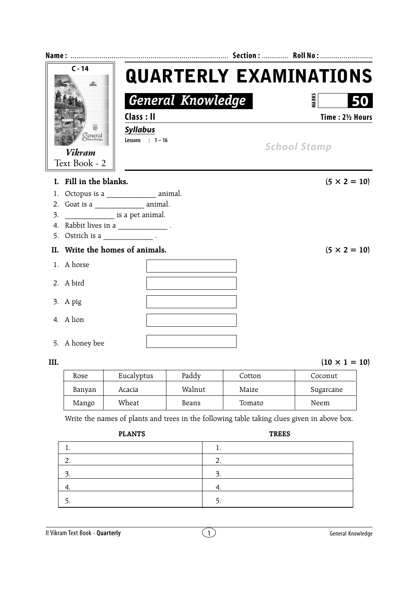|      | $C - 14$                               |             |                                     |                           |  |                         | <b>QUARTERLY EXAMINATIONS</b> |  |
|------|----------------------------------------|-------------|-------------------------------------|---------------------------|--|-------------------------|-------------------------------|--|
|      |                                        |             | <b>General Knowledge</b>            |                           |  |                         | <b>MARK</b><br>50             |  |
|      |                                        | Class: II   |                                     |                           |  |                         | Time: 21/2 Hours              |  |
|      |                                        |             | <b>Syllabus</b><br>Lessons : $1-16$ |                           |  | <b>School Stamp</b>     |                               |  |
|      | Jeneral<br><sup>)knowledge</sup>       |             |                                     |                           |  |                         |                               |  |
|      | Vikram                                 |             |                                     |                           |  |                         |                               |  |
|      | Text Book - 2                          |             |                                     |                           |  |                         |                               |  |
|      | I. Fill in the blanks.                 |             |                                     |                           |  |                         | $(5 \times 2 = 10)$           |  |
| 1.   | Octopus is a _________________ animal. |             |                                     |                           |  |                         |                               |  |
| 2.   |                                        |             |                                     |                           |  |                         |                               |  |
| 3.   | is a pet animal.                       |             |                                     |                           |  |                         |                               |  |
| 4.   | $Rabbit lives in a ________ .$         |             |                                     |                           |  |                         |                               |  |
| 5.   |                                        |             |                                     |                           |  |                         |                               |  |
| II.  | Write the homes of animals.            |             |                                     |                           |  |                         | $(5 \times 2 = 10)$           |  |
|      | 1. A horse                             |             |                                     |                           |  |                         |                               |  |
|      | 2. A bird                              |             |                                     |                           |  |                         |                               |  |
|      | 3. A pig                               |             |                                     |                           |  |                         |                               |  |
|      | 4. A lion                              |             |                                     |                           |  |                         |                               |  |
|      | 5. A honey bee                         |             |                                     |                           |  |                         |                               |  |
| III. |                                        |             |                                     |                           |  |                         | $(10 \times 1 = 10)$          |  |
|      | $D_{\alpha\alpha\alpha}$               | $E_{total}$ |                                     | $D_2 \Delta \Delta \cdot$ |  | $\overline{C}_{\alpha}$ | $Ca$ conut                    |  |

| Rose   | Eucalyptus | Paddy  | Cotton | Coconut   |
|--------|------------|--------|--------|-----------|
| Banyan | Acacia     | Walnut | Maize  | Sugarcane |
| Mango  | Wheat      | Beans  | Tomato | Neem      |

Write the names of plants and trees in the following table taking clues given in above box.

| <b>PLANTS</b> | <b>TREES</b> |
|---------------|--------------|
|               | . .          |
|               | ┑<br>ے ۔     |
| 3.            | 3.           |
| т.            | ч.           |
|               |              |
|               |              |

**II Vikram Text Book - Quarterly** extending the second of the C<sub>1</sub> General Knowledge General Knowledge